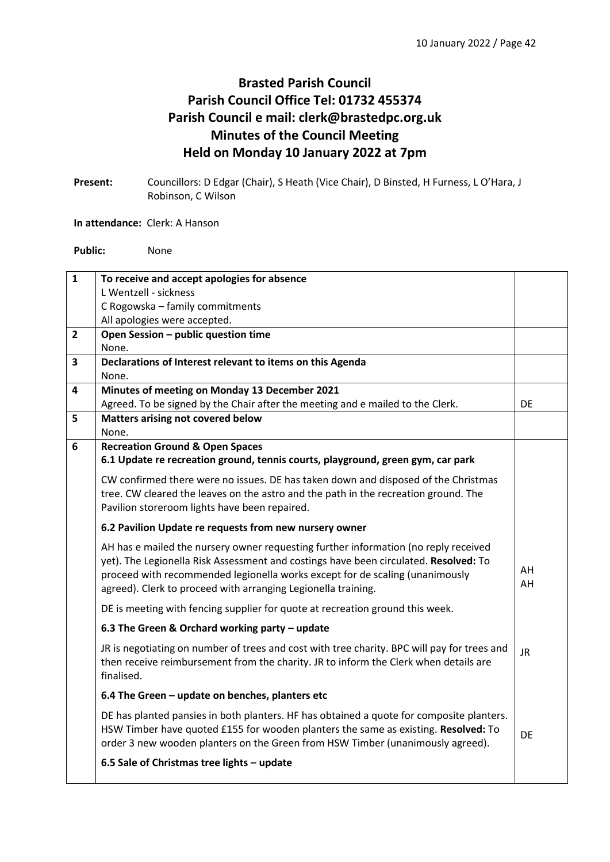## **Brasted Parish Council Parish Council Office Tel: 01732 455374 Parish Council e mail: clerk@brastedpc.org.uk Minutes of the Council Meeting Held on Monday 10 January 2022 at 7pm**

**Present:** Councillors: D Edgar (Chair), S Heath (Vice Chair), D Binsted, H Furness, L O'Hara, J Robinson, C Wilson

## **In attendance:** Clerk: A Hanson

**Public:** None

| $\mathbf{1}$ | To receive and accept apologies for absence<br>L Wentzell - sickness                        |           |  |  |  |  |
|--------------|---------------------------------------------------------------------------------------------|-----------|--|--|--|--|
|              |                                                                                             |           |  |  |  |  |
|              | C Rogowska - family commitments                                                             |           |  |  |  |  |
|              | All apologies were accepted.                                                                |           |  |  |  |  |
| $\mathbf{2}$ | Open Session - public question time                                                         |           |  |  |  |  |
|              | None.                                                                                       |           |  |  |  |  |
| 3            | Declarations of Interest relevant to items on this Agenda                                   |           |  |  |  |  |
|              | None.                                                                                       |           |  |  |  |  |
| 4            | Minutes of meeting on Monday 13 December 2021                                               |           |  |  |  |  |
|              | Agreed. To be signed by the Chair after the meeting and e mailed to the Clerk.              | <b>DE</b> |  |  |  |  |
| 5            | Matters arising not covered below                                                           |           |  |  |  |  |
|              | None.                                                                                       |           |  |  |  |  |
| 6            | <b>Recreation Ground &amp; Open Spaces</b>                                                  |           |  |  |  |  |
|              | 6.1 Update re recreation ground, tennis courts, playground, green gym, car park             |           |  |  |  |  |
|              | CW confirmed there were no issues. DE has taken down and disposed of the Christmas          |           |  |  |  |  |
|              | tree. CW cleared the leaves on the astro and the path in the recreation ground. The         |           |  |  |  |  |
|              | Pavilion storeroom lights have been repaired.                                               |           |  |  |  |  |
|              |                                                                                             |           |  |  |  |  |
|              | 6.2 Pavilion Update re requests from new nursery owner                                      |           |  |  |  |  |
|              | AH has e mailed the nursery owner requesting further information (no reply received         |           |  |  |  |  |
|              | yet). The Legionella Risk Assessment and costings have been circulated. Resolved: To        |           |  |  |  |  |
|              | proceed with recommended legionella works except for de scaling (unanimously                | AH        |  |  |  |  |
|              | agreed). Clerk to proceed with arranging Legionella training.                               | AH        |  |  |  |  |
|              | DE is meeting with fencing supplier for quote at recreation ground this week.               |           |  |  |  |  |
|              | 6.3 The Green & Orchard working party - update                                              |           |  |  |  |  |
|              | JR is negotiating on number of trees and cost with tree charity. BPC will pay for trees and |           |  |  |  |  |
|              | then receive reimbursement from the charity. JR to inform the Clerk when details are        | <b>JR</b> |  |  |  |  |
|              | finalised.                                                                                  |           |  |  |  |  |
|              |                                                                                             |           |  |  |  |  |
|              | 6.4 The Green - update on benches, planters etc                                             |           |  |  |  |  |
|              | DE has planted pansies in both planters. HF has obtained a quote for composite planters.    |           |  |  |  |  |
|              | HSW Timber have quoted £155 for wooden planters the same as existing. Resolved: To          |           |  |  |  |  |
|              | order 3 new wooden planters on the Green from HSW Timber (unanimously agreed).              | <b>DE</b> |  |  |  |  |
|              |                                                                                             |           |  |  |  |  |
|              | 6.5 Sale of Christmas tree lights - update                                                  |           |  |  |  |  |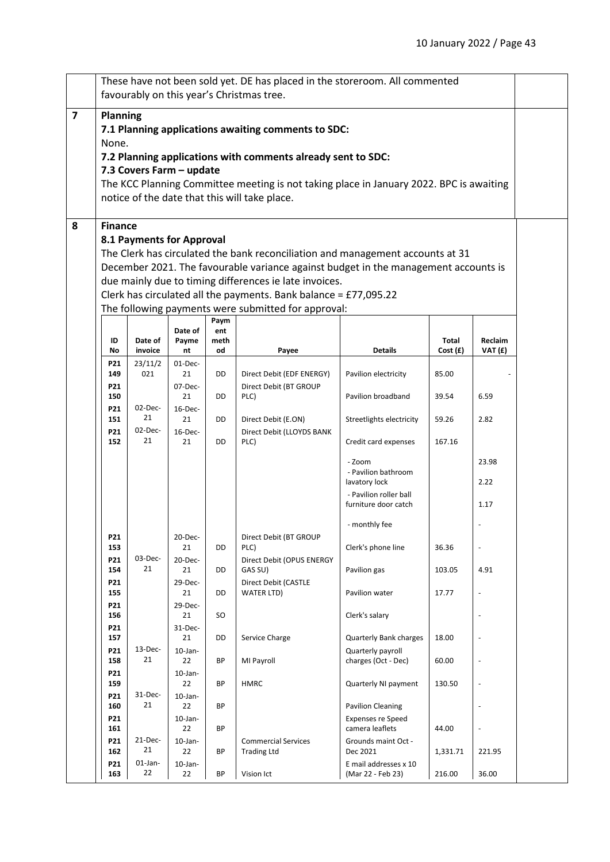|                | These have not been sold yet. DE has placed in the storeroom. All commented                                                                   |                  |                  |             |                                                     |                                                |          |                          |  |  |
|----------------|-----------------------------------------------------------------------------------------------------------------------------------------------|------------------|------------------|-------------|-----------------------------------------------------|------------------------------------------------|----------|--------------------------|--|--|
|                | favourably on this year's Christmas tree.                                                                                                     |                  |                  |             |                                                     |                                                |          |                          |  |  |
| $\overline{7}$ | Planning                                                                                                                                      |                  |                  |             |                                                     |                                                |          |                          |  |  |
|                | 7.1 Planning applications awaiting comments to SDC:                                                                                           |                  |                  |             |                                                     |                                                |          |                          |  |  |
|                | None.<br>7.2 Planning applications with comments already sent to SDC:                                                                         |                  |                  |             |                                                     |                                                |          |                          |  |  |
|                | 7.3 Covers Farm - update                                                                                                                      |                  |                  |             |                                                     |                                                |          |                          |  |  |
|                | The KCC Planning Committee meeting is not taking place in January 2022. BPC is awaiting                                                       |                  |                  |             |                                                     |                                                |          |                          |  |  |
|                | notice of the date that this will take place.                                                                                                 |                  |                  |             |                                                     |                                                |          |                          |  |  |
|                |                                                                                                                                               |                  |                  |             |                                                     |                                                |          |                          |  |  |
| 8              | <b>Finance</b>                                                                                                                                |                  |                  |             |                                                     |                                                |          |                          |  |  |
|                | 8.1 Payments for Approval                                                                                                                     |                  |                  |             |                                                     |                                                |          |                          |  |  |
|                | The Clerk has circulated the bank reconciliation and management accounts at 31                                                                |                  |                  |             |                                                     |                                                |          |                          |  |  |
|                | December 2021. The favourable variance against budget in the management accounts is<br>due mainly due to timing differences ie late invoices. |                  |                  |             |                                                     |                                                |          |                          |  |  |
|                | Clerk has circulated all the payments. Bank balance = £77,095.22                                                                              |                  |                  |             |                                                     |                                                |          |                          |  |  |
|                |                                                                                                                                               |                  |                  |             | The following payments were submitted for approval: |                                                |          |                          |  |  |
|                |                                                                                                                                               |                  | Date of          | Paym<br>ent |                                                     |                                                |          |                          |  |  |
|                | ID                                                                                                                                            | Date of          | Payme            | meth        |                                                     |                                                | Total    | Reclaim                  |  |  |
|                | No                                                                                                                                            | invoice          | nt               | od          | Payee                                               | <b>Details</b>                                 | Cost(f)  | VAT (£)                  |  |  |
|                | P21<br>149                                                                                                                                    | 23/11/2<br>021   | $01$ -Dec-<br>21 | DD          | Direct Debit (EDF ENERGY)                           | Pavilion electricity                           | 85.00    |                          |  |  |
|                | P21                                                                                                                                           |                  | 07-Dec-          |             | Direct Debit (BT GROUP                              |                                                |          |                          |  |  |
|                | 150<br>P21                                                                                                                                    | 02-Dec-          | 21<br>$16$ -Dec- | DD          | PLC)                                                | Pavilion broadband                             | 39.54    | 6.59                     |  |  |
|                | 151                                                                                                                                           | 21               | 21               | DD          | Direct Debit (E.ON)                                 | Streetlights electricity                       | 59.26    | 2.82                     |  |  |
|                | P21                                                                                                                                           | 02-Dec-<br>21    | $16$ -Dec-       |             | Direct Debit (LLOYDS BANK                           |                                                |          |                          |  |  |
|                | 152                                                                                                                                           |                  | 21               | DD          | PLC)                                                | Credit card expenses                           | 167.16   |                          |  |  |
|                |                                                                                                                                               |                  |                  |             |                                                     | - Zoom<br>- Pavilion bathroom                  |          | 23.98                    |  |  |
|                |                                                                                                                                               |                  |                  |             |                                                     | lavatory lock                                  |          | 2.22                     |  |  |
|                |                                                                                                                                               |                  |                  |             |                                                     | - Pavilion roller ball<br>furniture door catch |          | 1.17                     |  |  |
|                |                                                                                                                                               |                  |                  |             |                                                     |                                                |          |                          |  |  |
|                |                                                                                                                                               |                  |                  |             |                                                     | - monthly fee                                  |          |                          |  |  |
|                | P21<br>153                                                                                                                                    |                  | 20-Dec-<br>21    | DD          | Direct Debit (BT GROUP<br>PLC)                      | Clerk's phone line                             | 36.36    |                          |  |  |
|                | P21                                                                                                                                           | 03-Dec-          | 20-Dec-          |             | Direct Debit (OPUS ENERGY                           |                                                |          |                          |  |  |
|                | 154<br>P21                                                                                                                                    | 21               | 21<br>29-Dec-    | DD          | GAS SU)<br>Direct Debit (CASTLE                     | Pavilion gas                                   | 103.05   | 4.91                     |  |  |
|                | 155                                                                                                                                           |                  | 21               | DD          | WATER LTD)                                          | Pavilion water                                 | 17.77    |                          |  |  |
|                | P21                                                                                                                                           |                  | 29-Dec-          |             |                                                     |                                                |          |                          |  |  |
|                | 156<br>P21                                                                                                                                    |                  | 21<br>$31$ -Dec- | SO.         |                                                     | Clerk's salary                                 |          | $\overline{\phantom{a}}$ |  |  |
|                | 157                                                                                                                                           |                  | 21               | DD          | Service Charge                                      | <b>Quarterly Bank charges</b>                  | 18.00    |                          |  |  |
|                | P21<br>158                                                                                                                                    | $13$ -Dec-<br>21 | $10$ -Jan-<br>22 | BP          | MI Payroll                                          | Quarterly payroll<br>charges (Oct - Dec)       | 60.00    | $\overline{\phantom{a}}$ |  |  |
|                | P21                                                                                                                                           |                  | $10$ -Jan-       |             |                                                     |                                                |          |                          |  |  |
|                | 159                                                                                                                                           |                  | 22               | ВP          | <b>HMRC</b>                                         | Quarterly NI payment                           | 130.50   | $\overline{a}$           |  |  |
|                | P21<br>160                                                                                                                                    | $31-Dec-$<br>21  | $10$ -Jan-<br>22 | BP          |                                                     | <b>Pavilion Cleaning</b>                       |          |                          |  |  |
|                | P21                                                                                                                                           |                  | $10$ -Jan-       |             |                                                     | <b>Expenses re Speed</b>                       |          |                          |  |  |
|                | 161                                                                                                                                           |                  | 22               | <b>BP</b>   |                                                     | camera leaflets                                | 44.00    | $\overline{a}$           |  |  |
|                | P21<br>162                                                                                                                                    | $21$ -Dec-<br>21 | $10$ -Jan-<br>22 | BP          | <b>Commercial Services</b><br><b>Trading Ltd</b>    | Grounds maint Oct -<br>Dec 2021                | 1,331.71 | 221.95                   |  |  |
|                | P21                                                                                                                                           | $01$ -Jan-       | $10$ -Jan-       |             |                                                     | E mail addresses x 10                          |          |                          |  |  |
|                | 163                                                                                                                                           | 22               | 22               | ВP          | Vision Ict                                          | (Mar 22 - Feb 23)                              | 216.00   | 36.00                    |  |  |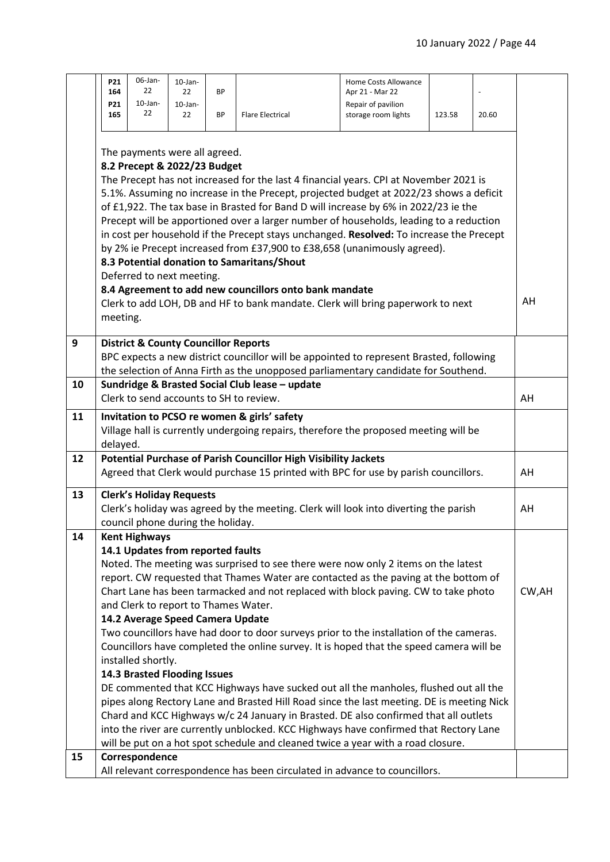|    | P21<br>164<br>P21<br>165                                                                                                                                                                                                         | 06-Jan-<br>22<br>$10$ -Jan-<br>22<br>The payments were all agreed.<br>8.2 Precept & 2022/23 Budget                                                                                          | $10$ -Jan-<br>22<br>$10$ -Jan-<br>22 | <b>BP</b><br><b>BP</b> | <b>Flare Electrical</b><br>The Precept has not increased for the last 4 financial years. CPI at November 2021 is<br>5.1%. Assuming no increase in the Precept, projected budget at 2022/23 shows a deficit<br>of £1,922. The tax base in Brasted for Band D will increase by 6% in 2022/23 ie the<br>Precept will be apportioned over a larger number of households, leading to a reduction<br>in cost per household if the Precept stays unchanged. Resolved: To increase the Precept<br>by 2% ie Precept increased from £37,900 to £38,658 (unanimously agreed).                                                                                                                                                                                                                                                                                                                                             | Home Costs Allowance<br>Apr 21 - Mar 22<br>Repair of pavilion<br>storage room lights | 123.58 | 20.60 |        |
|----|----------------------------------------------------------------------------------------------------------------------------------------------------------------------------------------------------------------------------------|---------------------------------------------------------------------------------------------------------------------------------------------------------------------------------------------|--------------------------------------|------------------------|----------------------------------------------------------------------------------------------------------------------------------------------------------------------------------------------------------------------------------------------------------------------------------------------------------------------------------------------------------------------------------------------------------------------------------------------------------------------------------------------------------------------------------------------------------------------------------------------------------------------------------------------------------------------------------------------------------------------------------------------------------------------------------------------------------------------------------------------------------------------------------------------------------------|--------------------------------------------------------------------------------------|--------|-------|--------|
|    | 8.3 Potential donation to Samaritans/Shout<br>Deferred to next meeting.<br>8.4 Agreement to add new councillors onto bank mandate<br>Clerk to add LOH, DB and HF to bank mandate. Clerk will bring paperwork to next<br>meeting. |                                                                                                                                                                                             |                                      |                        |                                                                                                                                                                                                                                                                                                                                                                                                                                                                                                                                                                                                                                                                                                                                                                                                                                                                                                                |                                                                                      |        |       |        |
| 9  | <b>District &amp; County Councillor Reports</b><br>BPC expects a new district councillor will be appointed to represent Brasted, following<br>the selection of Anna Firth as the unopposed parliamentary candidate for Southend. |                                                                                                                                                                                             |                                      |                        |                                                                                                                                                                                                                                                                                                                                                                                                                                                                                                                                                                                                                                                                                                                                                                                                                                                                                                                |                                                                                      |        |       |        |
| 10 | Sundridge & Brasted Social Club lease - update<br>Clerk to send accounts to SH to review.                                                                                                                                        |                                                                                                                                                                                             |                                      |                        |                                                                                                                                                                                                                                                                                                                                                                                                                                                                                                                                                                                                                                                                                                                                                                                                                                                                                                                |                                                                                      |        |       | AH     |
| 11 | Invitation to PCSO re women & girls' safety<br>Village hall is currently undergoing repairs, therefore the proposed meeting will be<br>delayed.                                                                                  |                                                                                                                                                                                             |                                      |                        |                                                                                                                                                                                                                                                                                                                                                                                                                                                                                                                                                                                                                                                                                                                                                                                                                                                                                                                |                                                                                      |        |       |        |
| 12 | <b>Potential Purchase of Parish Councillor High Visibility Jackets</b><br>Agreed that Clerk would purchase 15 printed with BPC for use by parish councillors.                                                                    |                                                                                                                                                                                             |                                      |                        |                                                                                                                                                                                                                                                                                                                                                                                                                                                                                                                                                                                                                                                                                                                                                                                                                                                                                                                |                                                                                      |        |       | AH     |
| 13 | <b>Clerk's Holiday Requests</b><br>Clerk's holiday was agreed by the meeting. Clerk will look into diverting the parish<br>council phone during the holiday.                                                                     |                                                                                                                                                                                             |                                      |                        |                                                                                                                                                                                                                                                                                                                                                                                                                                                                                                                                                                                                                                                                                                                                                                                                                                                                                                                |                                                                                      |        | AH    |        |
| 14 |                                                                                                                                                                                                                                  | <b>Kent Highways</b><br>14.1 Updates from reported faults<br>and Clerk to report to Thames Water.<br>14.2 Average Speed Camera Update<br>installed shortly.<br>14.3 Brasted Flooding Issues |                                      |                        | Noted. The meeting was surprised to see there were now only 2 items on the latest<br>report. CW requested that Thames Water are contacted as the paving at the bottom of<br>Chart Lane has been tarmacked and not replaced with block paving. CW to take photo<br>Two councillors have had door to door surveys prior to the installation of the cameras.<br>Councillors have completed the online survey. It is hoped that the speed camera will be<br>DE commented that KCC Highways have sucked out all the manholes, flushed out all the<br>pipes along Rectory Lane and Brasted Hill Road since the last meeting. DE is meeting Nick<br>Chard and KCC Highways w/c 24 January in Brasted. DE also confirmed that all outlets<br>into the river are currently unblocked. KCC Highways have confirmed that Rectory Lane<br>will be put on a hot spot schedule and cleaned twice a year with a road closure. |                                                                                      |        |       | CW, AH |
| 15 |                                                                                                                                                                                                                                  | Correspondence                                                                                                                                                                              |                                      |                        | All relevant correspondence has been circulated in advance to councillors.                                                                                                                                                                                                                                                                                                                                                                                                                                                                                                                                                                                                                                                                                                                                                                                                                                     |                                                                                      |        |       |        |